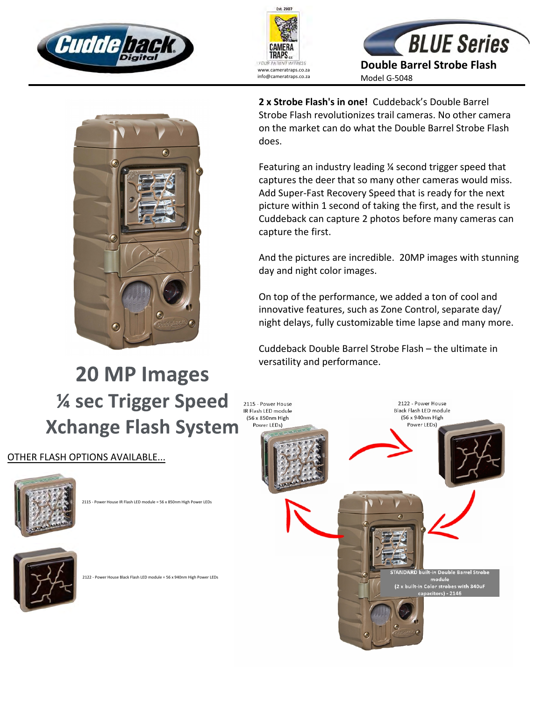







**2 x Strobe Flash's in one!** Cuddeback's Double Barrel Strobe Flash revolutionizes trail cameras. No other camera on the market can do what the Double Barrel Strobe Flash does.

Featuring an industry leading ¼ second trigger speed that captures the deer that so many other cameras would miss. Add Super-Fast Recovery Speed that is ready for the next picture within 1 second of taking the first, and the result is Cuddeback can capture 2 photos before many cameras can capture the first.

And the pictures are incredible. 20MP images with stunning day and night color images.

On top of the performance, we added a ton of cool and innovative features, such as Zone Control, separate day/ night delays, fully customizable time lapse and many more.

Cuddeback Double Barrel Strobe Flash – the ultimate in versatility and performance.

## 20 MP Images **14 sec Trigger Speed Xchange Flash System**

## OTHER FLASH OPTIONS AVAILABLE...



2115 - Power House IR Flash LED module = 56 x 850nm High Power LEDs



er House Black Flash LED module = 56 x 940nm High Power LEDs